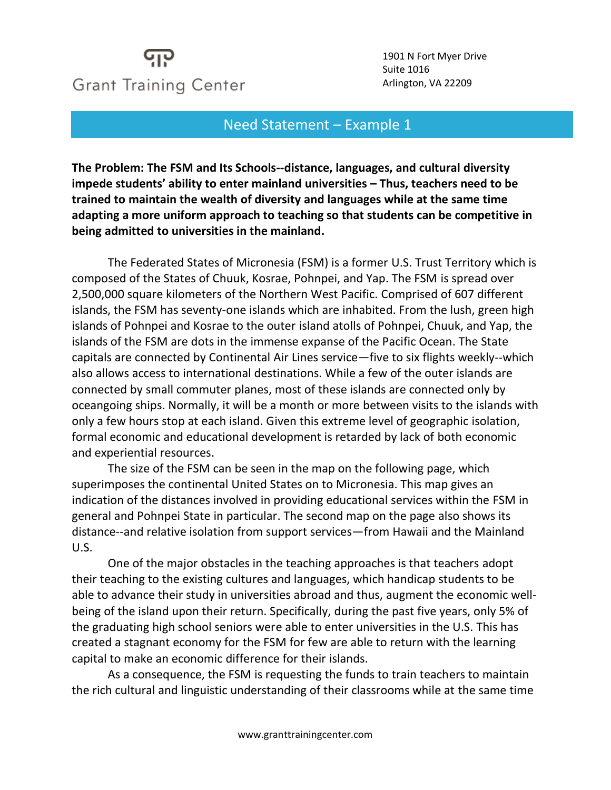## **Grant Training Center**

1901 N Fort Myer Drive Suite 1016 Arlington, VA 22209

## Need Statement – Example 1

**The Problem: The FSM and Its Schools--distance, languages, and cultural diversity impede students' ability to enter mainland universities – Thus, teachers need to be trained to maintain the wealth of diversity and languages while at the same time adapting a more uniform approach to teaching so that students can be competitive in being admitted to universities in the mainland.**

The Federated States of Micronesia (FSM) is a former U.S. Trust Territory which is composed of the States of Chuuk, Kosrae, Pohnpei, and Yap. The FSM is spread over 2,500,000 square kilometers of the Northern West Pacific. Comprised of 607 different islands, the FSM has seventy-one islands which are inhabited. From the lush, green high islands of Pohnpei and Kosrae to the outer island atolls of Pohnpei, Chuuk, and Yap, the islands of the FSM are dots in the immense expanse of the Pacific Ocean. The State capitals are connected by Continental Air Lines service—five to six flights weekly--which also allows access to international destinations. While a few of the outer islands are connected by small commuter planes, most of these islands are connected only by oceangoing ships. Normally, it will be a month or more between visits to the islands with only a few hours stop at each island. Given this extreme level of geographic isolation, formal economic and educational development is retarded by lack of both economic and experiential resources.

The size of the FSM can be seen in the map on the following page, which superimposes the continental United States on to Micronesia. This map gives an indication of the distances involved in providing educational services within the FSM in general and Pohnpei State in particular. The second map on the page also shows its distance--and relative isolation from support services—from Hawaii and the Mainland U.S.

One of the major obstacles in the teaching approaches is that teachers adopt their teaching to the existing cultures and languages, which handicap students to be able to advance their study in universities abroad and thus, augment the economic wellbeing of the island upon their return. Specifically, during the past five years, only 5% of the graduating high school seniors were able to enter universities in the U.S. This has created a stagnant economy for the FSM for few are able to return with the learning capital to make an economic difference for their islands.

As a consequence, the FSM is requesting the funds to train teachers to maintain the rich cultural and linguistic understanding of their classrooms while at the same time